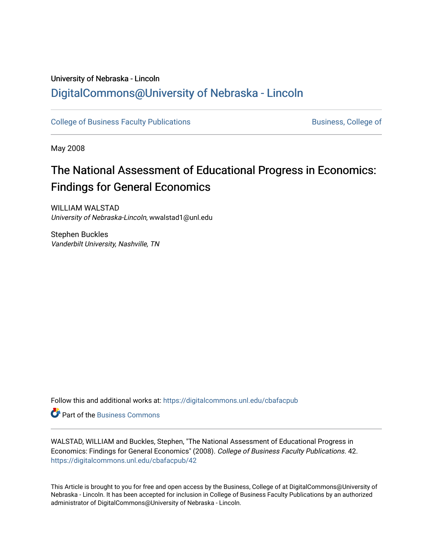# University of Nebraska - Lincoln [DigitalCommons@University of Nebraska - Lincoln](https://digitalcommons.unl.edu/)

[College of Business Faculty Publications](https://digitalcommons.unl.edu/cbafacpub) **Business**, College of Business, College of

May 2008

# The National Assessment of Educational Progress in Economics: Findings for General Economics

WILLIAM WALSTAD University of Nebraska-Lincoln, wwalstad1@unl.edu

Stephen Buckles Vanderbilt University, Nashville, TN

Follow this and additional works at: [https://digitalcommons.unl.edu/cbafacpub](https://digitalcommons.unl.edu/cbafacpub?utm_source=digitalcommons.unl.edu%2Fcbafacpub%2F42&utm_medium=PDF&utm_campaign=PDFCoverPages) 

**C** Part of the [Business Commons](http://network.bepress.com/hgg/discipline/622?utm_source=digitalcommons.unl.edu%2Fcbafacpub%2F42&utm_medium=PDF&utm_campaign=PDFCoverPages)

WALSTAD, WILLIAM and Buckles, Stephen, "The National Assessment of Educational Progress in Economics: Findings for General Economics" (2008). College of Business Faculty Publications. 42. [https://digitalcommons.unl.edu/cbafacpub/42](https://digitalcommons.unl.edu/cbafacpub/42?utm_source=digitalcommons.unl.edu%2Fcbafacpub%2F42&utm_medium=PDF&utm_campaign=PDFCoverPages)

This Article is brought to you for free and open access by the Business, College of at DigitalCommons@University of Nebraska - Lincoln. It has been accepted for inclusion in College of Business Faculty Publications by an authorized administrator of DigitalCommons@University of Nebraska - Lincoln.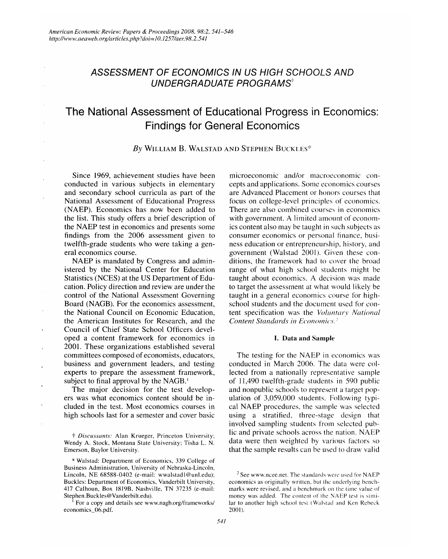## ASSESSMENT OF ECONOMICS IN US HIGH SCHOOLS AND UNDERGRADUATE PROGRAMS'

## The National Assessment of Educational Progress in Economics: Findings for General Economics

## By WILLIAM B. WALSTAD AND STEPHEN BUCKLES\*

Since 1969, achievement studies have been conducted in various subjects in elementary and secondary school curricula as part of the National Assessment of Educational Progress (NAEP). Economics has now been added to the list. This study offers a brief description of the NAEP test in economics and presents some findings from the 2006 assessment given to twelfth-grade students who were taking a general economics course.

NAEP is mandated by Congress and administered by the National Center for Education Statistics (NCES) at the US Department of Education. Policy direction and review are under the control of the National Assessment Governing Board (NAGB). For the economics assessment, the National Council on Economic Education, the American Institutes for Research, and the Council of Chief State School Officers developed a content framework for economics in 2001. These organizations established several committees composed of economists, educators, business and government leaders, and testing experts to prepare the assessment framework, subject to final approval by the NAGB.'

The major decision for the test developers was what economics content should be included in the test. Most economics courses in high schools last for a semester and cover basic microeconomic and/or macroeconomic concepts and applications. Some economics courses are Advanced Placement or honors courses that focus on college-level principles of economics. There are also combined courses in economics with government. A limited amount of economics content also may be taught in such subjects as consumer economics or personal finance, business education or entrepreneurship, history, and government (Walstad 2001). Given these conditions, the framework had to cover the broad range of what high school students might be taught about economics. A decision was made to target the assessment at what would likely be taught in a general economics course for highschool students and the document used for content specification was the *Voluntary National* **Content Standards in Economics.<sup>2</sup>** 

#### **I. Data and Sample**

The testing for the NAEP in economics was conducted in March 2006. The data were collected from a nationally representative sample of 11,490 twelfth-grade students in 590 public and nonpublic schools to represent a target population of 3,059,000 students. Following typical NAEP procedures, the sample was selected using a stratified, three-stage design that involved sampling students from selected public and private schools across the nation. NAEP data were then weighted by various factors so that the sample results can be used to draw valid

*<sup>&</sup>quot;fiscussunts:* Alan Krueger, Princeton University; Wendy A. Stock, Montana State University: Tisha L. N. Emerson, Baylor University.

<sup>\*</sup> Walstad: Department of Economics, 339 College of Business Administration, University of Nebraska-Lincoln, Lincoln, NE 68588-0402 (e-mail: wwalstadl@unl.edu); Buckles: Department of Economics, Vanderbilt University, 417 Calhoun, Box 1819B, Nashville, TN 37235 (e-mail: Stephen.Buckles@Vanderbilt.edu). <sup>1</sup> For a copy and details see www.nagb.org/frameworks/

economics\_06.pdf.

 $\degree$ See www.ncee.net. The standards were used for NAEP economics as originally written. but the underlying benchmarks were revised, and a benchmark on the time value of money was added. The content of the NAEP test is similar to another high school test (Walstad and Ken Rebeck 2001).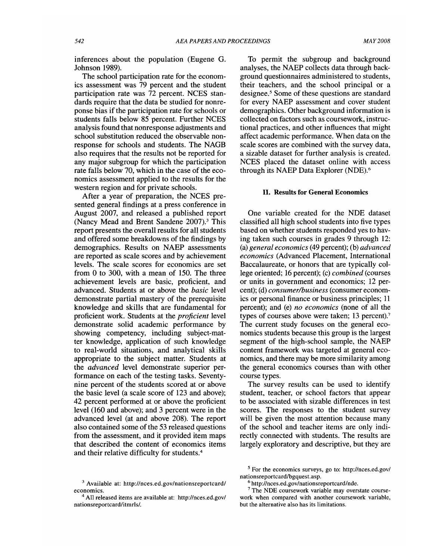inferences about the population (Eugene G. Johnson 1989).

The school participation rate for the economics assessment was 79 percent and the student participation rate was  $72$  percent. NCES standards require that the data be studied for nonreponse bias if the participation rate for schools or students falls below 85 percent. Further NCES analysis found that nonresponse adjustments and school substitution reduced the observable nonresponse for schools and students. The NAGB also requires that the results not be reported for any major subgroup for which the participation rate falls below 70, which in the case of the economics assessment applied to the results for the western region and for private schools.

After a year of preparation, the NCES presented general findings at a press conference in August 2007, and released a published report (Nancy Mead and Brent Sandene  $2007$ ).<sup>3</sup> This report presents the overall results for all students and offered some breakdowns of the findings by demographics. Results on NAEP assessments are reported as scale scores and by achievement levels. The scale scores for economics are set from 0 to 300, with a mean of 150. The three achievement levels are basic, proficient, and advanced. Students at or above the *basic* level demonstrate partial mastery of the prerequisite knowledge and skills that are fundamental for proficient work. Students at the *projicient* level demonstrate solid academic performance by showing competency, including subject-matter knowledge, application of such knowledge to real-world situations, and analytical skills appropriate to the subject matter. Students at the *advanced* level demonstrate superior performance on each of the testing tasks. Seventynine percent of the students scored at or above the basic level (a scale score of 123 and above); 42 percent performed at or above the proficient level (160 and above); and 3 percent were in the advanced level (at and above 208). The report also contained some of the 53 released questions from the assessment, and it provided item maps that described the content of economics items and their relative difficulty for students.<sup>4</sup>

To permit the subgroup and background analyses, the NAEP collects data through background questionnaires administered to students, their teachers, and the school principal or a designee.<sup>5</sup> Some of these questions are standard for every NAEP assessment and cover student demographics. Other background information is collected on factors such as coursework, instructional practices, and other influences that might affect academic performance. When data on the scale scores are combined with the survey data, a sizable dataset for further analysis is created. NCES placed the dataset online with access through its NAEP Data Explorer (NDE).6

#### **11. Results for General Economics**

One variable created for the NDE dataset classified all high school students into five types based on whether students responded yes to having taken such courses in grades 9 through 12: (a) *general economics* (49 percent); (b) *advanced economics* (Advanced Placement, International Baccalaureate, or honors that are typically college oriented; 16 percent); (c) *combined* (courses or units in government and economics; 12 percent); (d) *consumer/business* (consumer economics or personal finance or business principles; 11 percent); and (e) *no economics* (none of all the types of courses above were taken;  $13$  percent).<sup>7</sup> The current study focuses on the general economics students because this group is the largest segment of the high-school sample, the NAEP content framework was targeted at general economics, and there may be more similarity among the general economics courses than with other course types.

The survey results can be used to identify student, teacher, or school factors that appear to be associated with sizable differences in test scores. The responses to the student survey will be given the most attention because many of the school and teacher items are only indirectly connected with students. The results are largely exploratory and descriptive, but they are

<sup>&</sup>lt;sup>3</sup> Available at: http://nces.ed.gov/nationsreportcard/ economics.

<sup>&</sup>lt;sup>4</sup> All released items are available at: http://nces.ed.gov/ **nationsreportcard/itmrls/.** 

<sup>&</sup>lt;sup>5</sup> For the economics surveys, go to: http://nces.ed.gov/ **nationsreportcard/bgquest.asp.** 

**http://nces.ed.gov/nationsreportcard/nde.** 

<sup>&</sup>lt;sup>7</sup> The NDE coursework variable may overstate coursework when compared with another coursework variable, but the alternative also has its limitations.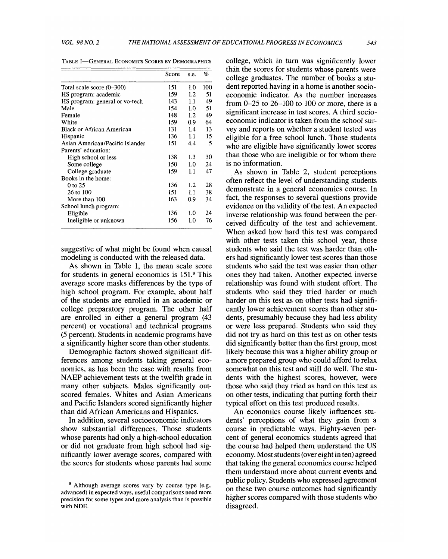TABLE 1-GENERAL ECONOMICS SCORES BY DEMOGRAPHICS

|                                 | Score | s.e.    | %   |
|---------------------------------|-------|---------|-----|
| Total scale score (0–300)       | 151   | 1.0     | 100 |
| HS program: academic            | 159   | 1.2     | 51  |
| HS program: general or vo-tech  | 143   | 1.1     | 49  |
| Male                            | 154   | 1.0     | 51  |
| Female                          | 148   | 1.2     | 49  |
| White                           | 159   | 0.9.    | 64  |
| Black or African American       | 131   | 1.4     | 13  |
| Hispanic                        | 136   | 1.1     | 15  |
| Asian American/Pacific Islander | 151   | 4.4     | 5   |
| Parents' education:             |       |         |     |
| High school or less             | 138   | 1.3     | 30  |
| Some college                    | 150   | 1.0     | 24  |
| College graduate                | 159   | 1.1     | 47  |
| Books in the home:              |       |         |     |
| 0 to 25                         | 136   | $1.2\,$ | 28  |
| 26 to 100                       | 151   | 1.1     | 38  |
| More than 100                   | 163   | 0.9     | 34  |
| School lunch program:           |       |         |     |
| Eligible                        | 136   | 1.0     | 24  |
| Ineligible or unknown           | 156   | $1.0\,$ | 76  |

suggestive of what might be found when causal modeling is conducted with the released data.

As shown in Table 1, the mean scale score for students in general economics is 151.\* This average score masks differences by the type of high school program. For example, about half of the students are enrolled in an academic or college preparatory program. The other half are enrolled in either a general program (43 percent) or vocational and technical programs (5 percent). Students in academic programs have a significantly higher score than other students.

Demographic factors showed significant differences among students taking general economics, as has been the case with results from NAEP achievement tests at the twelfth grade in many other subjects. Males significantly outscored females. Whites and Asian Americans and Pacific Islanders scored significantly higher than did African Americans and Hispanics.

In addition, several socioeconomic indicators show substantial differences. Those students whose parents had only a high-school education or did not graduate from high school had significantly lower average scores, compared with the scores for students whose parents had some college, which in turn was significantly lower than the scores for students whose parents were college graduates. The number of books a student reported having in a home is another socioeconomic indicator. As the number increases from  $0-25$  to  $26-100$  to 100 or more, there is a significant increase in test scores. A third socioeconomic indicator is taken from the school survey and reports on whether a student tested was eligible for a free school lunch. Those students who are eligible have significantly lower scores than those who are ineligible or for whom there is no information.

As shown in Table 2, student perceptions often reflect the level of understanding students demonstrate in a general economics course. In fact, the responses to several questions provide evidence on the validity of the test. An expected inverse relationship was found between the perceived difficulty of the test and achievement. When asked how hard this test was compared with other tests taken this school year, those students who said the test was harder than others had significantly lower test scores than those students who said the test was easier than other ones they had taken. Another expected inverse relationship was found with student effort. The students who said they tried harder or much harder on this test as on other tests had significantly lower achievement scores than other students, presumably because they had less ability or were less prepared. Students who said they did not try as hard on this test as on other tests did significantly better than the first group, most likely because this was a higher ability group or a more prepared group who could afford to relax somewhat on this test and still do well. The students with the highest scores, however, were those who said they tried as hard on this test as on other tests, indicating that putting forth their typical effort on this test produced results.

An economics course likely influences students' perceptions of what they gain from a course in predictable ways. Eighty-seven percent of general economics students agreed that the course had helped them understand the US economy. Most students (over eight in ten) agreed that taking the general economics course helped them understand more about current events and public policy. Students who expressed agreement on these two course outcomes had significantly higher scores compared with those students who disagreed.

Although average scores vary by course type (e.g., advanced) in expected ways, useful comparisons need more precision for some types and more analysis than is possible with NDE.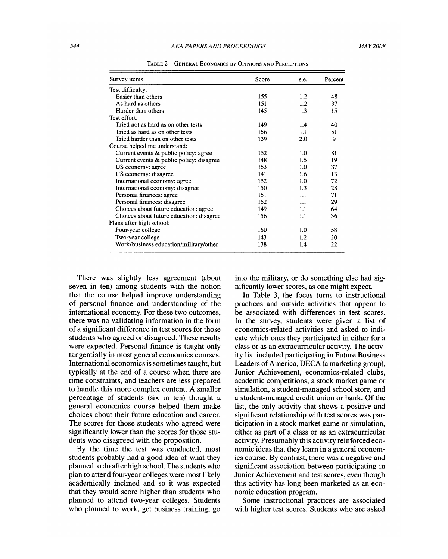| Survey items                             | Score | s.e. | Percent |
|------------------------------------------|-------|------|---------|
| Test difficulty:                         |       |      |         |
| Easier than others                       | 155   | 1.2  | 48      |
| As hard as others                        | 151   | 1.2  | 37      |
| Harder than others                       | 145   | 1.3  | 15      |
| Test effort:                             |       |      |         |
| Tried not as hard as on other tests      | 149   | 1.4  | 40      |
| Tried as hard as on other tests          | 156   | 1.1  | 51      |
| Tried harder than on other tests         | 139   | 2.0  | 9       |
| Course helped me understand:             |       |      |         |
| Current events & public policy: agree    | 152   | 1.0  | 81      |
| Current events & public policy: disagree | 148   | 1.5  | 19      |
| US economy: agree                        | 153   | 1.0  | 87      |
| US economy: disagree                     | 141   | 1.6  | 13      |
| International economy: agree             | 152   | 1.0  | 72      |
| International economy: disagree          | 150   | 1.3  | 28      |
| Personal finances: agree                 | 151   | 1.1  | 71      |
| Personal finances: disagree              | 152   | 1.1  | 29      |
| Choices about future education: agree    | 149   | 1.1  | 64      |
| Choices about future education: disagree | 156   | 1.1  | 36      |
| Plans after high school:                 |       |      |         |
| Four-year college                        | 160   | 1.0  | 58      |
| Two-year college                         | 143   | 1.2. | 20      |
| Work/business education/military/other   | 138   | 1.4  | 22      |

**TABLE 2-GENERAL ECONOMICS BY OPINIONS AND PERCEPTIONS** 

There was slightly less agreement (about seven in ten) among students with the notion that the course helped improve understanding of personal finance and understanding of the international economy. For these two outcomes, there was no validating information in the form of a significant difference in test scores for those students who agreed or disagreed. These results were expected. Personal finance is taught only tangentially in most general economics courses. International economics is sometimes taught, but typically at the end of a course when there are time constraints, and teachers are less prepared to handle this more complex content. A smaller percentage of students (six in ten) thought a general economics course helped them make choices about their future education and career. The scores for those students who agreed were significantly lower than the scores for those students who disagreed with the proposition.

By the time the test was conducted, most students probably had a good idea of what they planned to do after high school. The students who plan to attend four-year colleges were most likely academically inclined and so it was expected that they would score higher than students who planned to attend two-year colleges. Students who planned to work, get business training, go into the military, or do something else had significantly lower scores, as one might expect.

In Table **3,** the focus turns to instructional practices and outside activities that appear to be associated with differences in test scores. In the survey, students were given a list of economics-related activities and asked to indicate which ones they participated in either for a class or as an extracurricular activity. The activity list included participating in Future Business Leaders of America, DECA (a marketing group), Junior Achievement, economics-related clubs, academic competitions, a stock market game or simulation, a student-managed school store, and a student-managed credit union or bank. Of the list, the only activity that shows a positive and significant relationship with test scores was participation in a stock market game or simulation, either as part of a class or as an extracurricular activity. Presumably this activity reinforced economic ideas that they learn in a general economics course. By contrast, there was a negative and significant association between participating in Junior Achievement and test scores, even though this activity has long been marketed as an economic education program.

Some instructional practices are associated with higher test scores. Students who are asked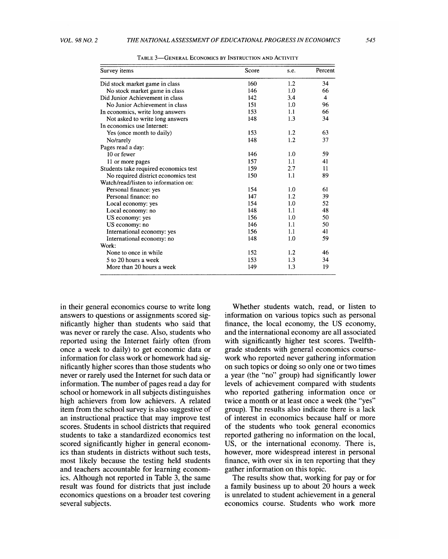| Survey items                          | Score | s.e. | Percent        |
|---------------------------------------|-------|------|----------------|
| Did stock market game in class        | 160   | 1.2  | 34             |
| No stock market game in class         | 146   | 1.0  | 66             |
| Did Junior Achievement in class       | 142   | 3.4  | $\overline{4}$ |
| No Junior Achievement in class        | 151   | 1.0  | 96             |
| In economics, write long answers      | 153   | 1.1  | 66             |
| Not asked to write long answers       | 148   | 1.3  | 34             |
| In economics use Internet:            |       |      |                |
| Yes (once month to daily)             | 153   | 1.2  | 63             |
| No/rarely                             | 148   | 1.2  | 37             |
| Pages read a day:                     |       |      |                |
| 10 or fewer                           | 146   | 1.0  | 59             |
| 11 or more pages                      | 157   | 1.1  | 41             |
| Students take required economics test | 159   | 2.7  | 11             |
| No required district economics test   | 150   | 1.1  | 89             |
| Watch/read/listen to information on:  |       |      |                |
| Personal finance: yes                 | 154   | 1.0  | 61             |
| Personal finance: no                  | 147   | 1.2  | 39             |
| Local economy: yes                    | 154   | 1.0  | 52             |
| Local economy: no                     | 148   | 1.1  | 48             |
| US economy: yes                       | 156   | 1.0  | 50             |
| US economy: no                        | 146   | 1.1  | 50             |
| International economy: yes            | 156   | 1.1  | 41             |
| International economy: no             | 148   | 1.0  | 59             |
| Work:                                 |       |      |                |
| None to once in while                 | 152   | 1.2  | 46             |
| 5 to 20 hours a week                  | 153   | 1.3  | 34             |
| More than 20 hours a week             | 149   | 1.3  | 19             |

TABLE 3-GENERAL ECONOMICS BY INSTRUCTION AND ACTIVITY

in their general economics course to write long answers to questions or assignments scored significantly higher than students who said that was never or rarely the case. Also, students who reported using the Internet fairly often (from once a week to daily) to get economic data or information for class work or homework had significantly higher scores than those students who never or rarely used the Internet for such data or information. The number of pages read a day for school or homework in all subjects distinguishes high achievers from low achievers. **A** related item from the school survey is also suggestive of an instructional practice that may improve test scores. Students in school districts that required students to take a standardized economics test scored significantly higher in general economics than students in districts without such tests, most likely because the testing held students and teachers accountable for learning economics. Although not reported in Table **3,** the same result was found for districts that just include economics questions on a broader test covering several subjects.

Whether students watch, read, or listen to information on various topics such as personal finance, the local economy, the US economy, and the international economy are all associated with significantly higher test scores. Twelfthgrade students with general economics coursework who reported never gathering information on such topics or doing so only one or two times a year (the "no" group) had significantly lower levels of achievement compared with students who reported gathering information once or twice a month or at least once a week (the "yes" group). The results also indicate there is a lack of interest in economics because half or more of the students who took general economics reported gathering no information on the local, US, or the international economy. There is, however, more widespread interest in personal finance, with over six in ten reporting that they gather information on this topic.

The results show that, working for pay or for a family business up to about 20 hours a week is unrelated to student achievement in a general economics course. Students who work more